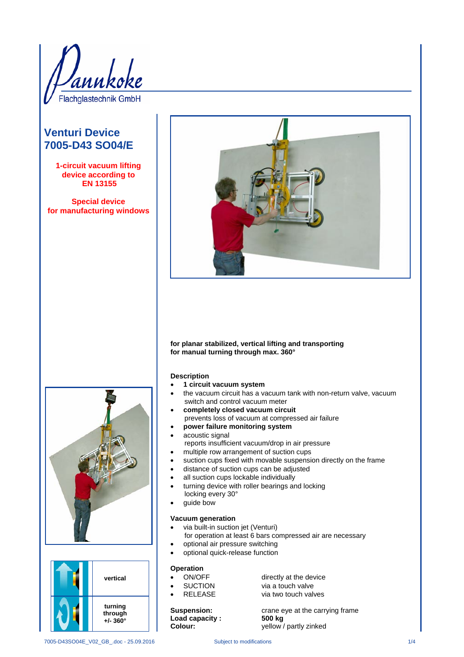

# **Venturi Device 7005-D43 SO04/E**

**1-circuit vacuum lifting device according to EN 13155**

**Special device for manufacturing windows**



## **for planar stabilized, vertical lifting and transporting for manual turning through max. 360°**

### **Description**

- **1 circuit vacuum system**
- the vacuum circuit has a vacuum tank with non-return valve, vacuum switch and control vacuum meter
- **completely closed vacuum circuit** prevents loss of vacuum at compressed air failure
- **power failure monitoring system**
- acoustic signal
- reports insufficient vacuum/drop in air pressure
- multiple row arrangement of suction cups
- suction cups fixed with movable suspension directly on the frame
- distance of suction cups can be adjusted
- all suction cups lockable individually
- turning device with roller bearings and locking
- locking every 30°
- guide bow

## **Vacuum generation**

- via built-in suction jet (Venturi)
- for operation at least 6 bars compressed air are necessary • optional air pressure switching
- optional quick-release function

- **Operation**
- 
- 

Load capacity :<br>Colour:

ON/OFF directly at the device<br>
SUCTION via a touch valve • SUCTION via a touch valve via two touch valves

**Suspension:** crane eye at the carrying frame<br> **Load capacity:** 500 kg yellow / partly zinked



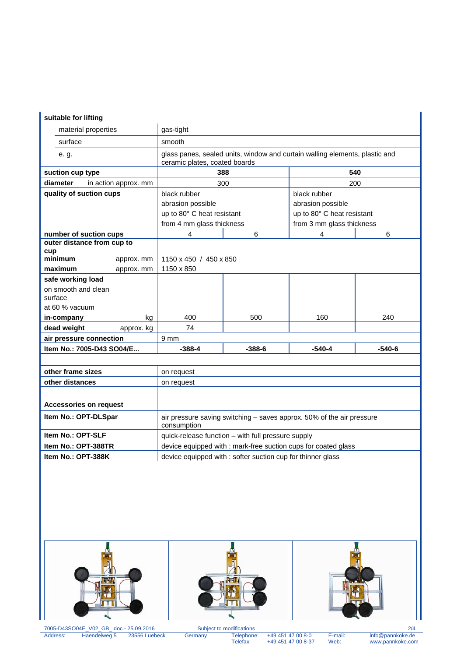## **suitable for lifting**

| material properties              | gas-tight                                                                                                    |          |                            |          |
|----------------------------------|--------------------------------------------------------------------------------------------------------------|----------|----------------------------|----------|
| surface                          | smooth                                                                                                       |          |                            |          |
| e. g.                            | glass panes, sealed units, window and curtain walling elements, plastic and<br>ceramic plates, coated boards |          |                            |          |
| suction cup type                 | 388                                                                                                          |          | 540                        |          |
| diameter<br>in action approx. mm | 300                                                                                                          |          | 200                        |          |
| quality of suction cups          | black rubber                                                                                                 |          | black rubber               |          |
|                                  | abrasion possible                                                                                            |          | abrasion possible          |          |
|                                  | up to 80° C heat resistant                                                                                   |          | up to 80° C heat resistant |          |
|                                  | from 4 mm glass thickness                                                                                    |          | from 3 mm glass thickness  |          |
| number of suction cups           | 4                                                                                                            | 6        | 4                          | 6        |
| outer distance from cup to       |                                                                                                              |          |                            |          |
| cup<br>minimum                   |                                                                                                              |          |                            |          |
| approx. mm                       | 1150 x 450 / 450 x 850                                                                                       |          |                            |          |
| maximum<br>approx. mm            | 1150 x 850                                                                                                   |          |                            |          |
| safe working load                |                                                                                                              |          |                            |          |
| on smooth and clean<br>surface   |                                                                                                              |          |                            |          |
| at 60 % vacuum                   |                                                                                                              |          |                            |          |
| in-company<br>kg                 | 400                                                                                                          | 500      | 160                        | 240      |
| dead weight<br>approx. kg        | 74                                                                                                           |          |                            |          |
| air pressure connection          | 9 <sub>mm</sub>                                                                                              |          |                            |          |
| Item No.: 7005-D43 SO04/E        | $-388-4$                                                                                                     | $-388-6$ | $-540-4$                   | $-540-6$ |
|                                  |                                                                                                              |          |                            |          |
| other frame sizes                | on request                                                                                                   |          |                            |          |
| other distances                  | on request                                                                                                   |          |                            |          |
|                                  |                                                                                                              |          |                            |          |
| <b>Accessories on request</b>    |                                                                                                              |          |                            |          |
| Item No.: OPT-DLSpar             | air pressure saving switching - saves approx. 50% of the air pressure<br>consumption                         |          |                            |          |
| Item No.: OPT-SLF                | quick-release function - with full pressure supply                                                           |          |                            |          |
| Item No.: OPT-388TR              | device equipped with : mark-free suction cups for coated glass                                               |          |                            |          |
| Item No.: OPT-388K               | device equipped with : softer suction cup for thinner glass                                                  |          |                            |          |







7005-D43SO04E\_V02\_GB\_.doc - 25.09.2016 Subject to modifications 2/4 Address: Haendelweg 5 23556 Luebeck Germany Telephone: +49 451 47 00 8-0 E-mail: info@pannkoke.de

Telephone: +49 451 47 00 8-0<br>Telephone: +49 451 47 00 8-0<br>Telefax: +49 451 47 00 8-37 Web: www.pannkoke.com

 $\mathbb{R}$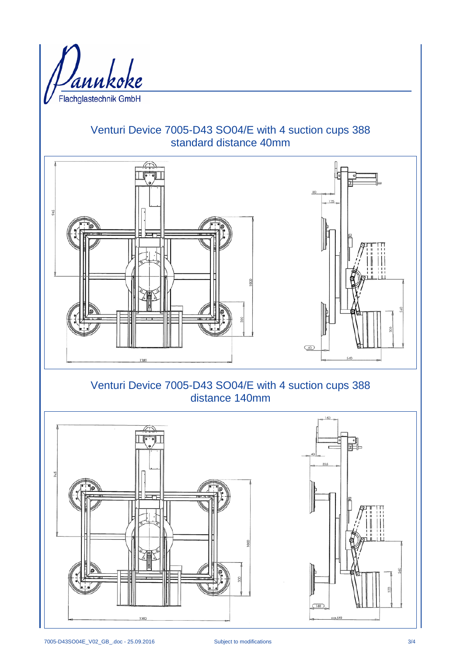

# Venturi Device 7005-D43 SO04/E with 4 suction cups 388 standard distance 40mm



# Venturi Device 7005-D43 SO04/E with 4 suction cups 388 distance 140mm